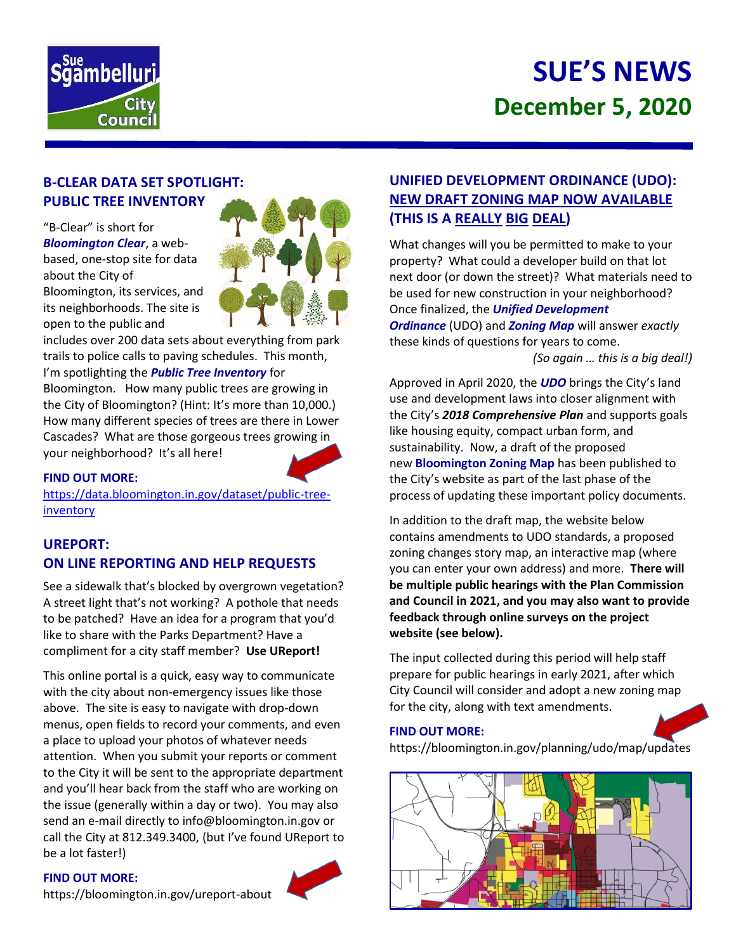

# **SUE'S NEWS December 5, 2020**

# **B-CLEAR DATA SET SPOTLIGHT: PUBLIC TREE INVENTORY**

"B-Clear" is short for *Bloomington Clear*, a webbased, one-stop site for data about the City of Bloomington, its services, and its neighborhoods. The site is open to the public and



includes over 200 data sets about everything from park trails to police calls to paving schedules. This month, I'm spotlighting the *Public Tree Inventory* for

Bloomington. How many public trees are growing in the City of Bloomington? (Hint: It's more than 10,000.) How many different species of trees are there in Lower Cascades? What are those gorgeous trees growing in your neighborhood? It's all here!

### **FIND OUT MORE:**

[https://data.bloomington.in.gov/dataset/public-tree](https://data.bloomington.in.gov/dataset/public-tree-inventory)[inventory](https://data.bloomington.in.gov/dataset/public-tree-inventory)

# **UREPORT: ON LINE REPORTING AND HELP REQUESTS**

See a sidewalk that's blocked by overgrown vegetation? A street light that's not working? A pothole that needs to be patched? Have an idea for a program that you'd like to share with the Parks Department? Have a compliment for a city staff member? **Use UReport!**

This online portal is a quick, easy way to communicate with the city about non-emergency issues like those above. The site is easy to navigate with drop-down menus, open fields to record your comments, and even a place to upload your photos of whatever needs attention. When you submit your reports or comment to the City it will be sent to the appropriate department and you'll hear back from the staff who are working on the issue (generally within a day or two). You may also send an e-mail directly to info@bloomington.in.gov or call the City at 812.349.3400, (but I've found UReport to be a lot faster!)

### **FIND OUT MORE:**



# **UNIFIED DEVELOPMENT ORDINANCE (UDO): NEW DRAFT ZONING MAP NOW AVAILABLE (THIS IS A REALLY BIG DEAL)**

What changes will you be permitted to make to your property? What could a developer build on that lot next door (or down the street)? What materials need to be used for new construction in your neighborhood? Once finalized, the *Unified Development Ordinance* (UDO) and *Zoning Map* will answer *exactly* these kinds of questions for years to come.

*(So again … this is a big deal!)*

Approved in April 2020, the *UDO* brings the City's land use and development laws into closer alignment with the City's *2018 Comprehensive Plan* and supports goals like housing equity, compact urban form, and sustainability. Now, a draft of the proposed new **Bloomington Zoning Map** has been published to the City's website as part of the last phase of the process of updating these important policy documents.

In addition to the draft map, the website below contains amendments to UDO standards, a proposed zoning changes story map, an interactive map (where you can enter your own address) and more. **There will be multiple public hearings with the Plan Commission and Council in 2021, and you may also want to provide feedback through online surveys on the project website (see below).**

The input collected during this period will help staff prepare for public hearings in early 2021, after which City Council will consider and adopt a new zoning map for the city, along with text amendments.

# **FIND OUT MORE:**

https://bloomington.in.gov/planning/udo/map/updates